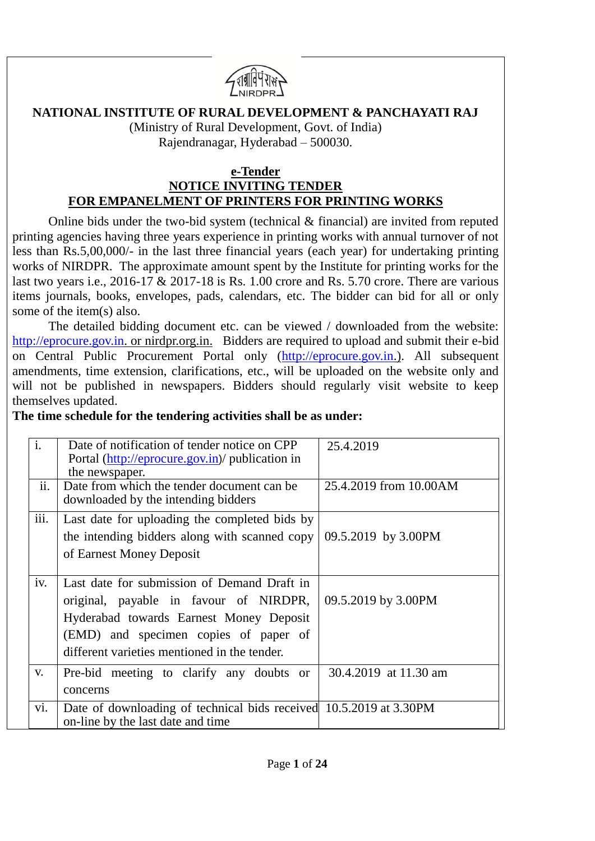

(Ministry of Rural Development, Govt. of India) Rajendranagar, Hyderabad – 500030.

#### **e-Tender NOTICE INVITING TENDER FOR EMPANELMENT OF PRINTERS FOR PRINTING WORKS**

Online bids under the two-bid system (technical & financial) are invited from reputed printing agencies having three years experience in printing works with annual turnover of not less than Rs.5,00,000/- in the last three financial years (each year) for undertaking printing works of NIRDPR. The approximate amount spent by the Institute for printing works for the last two years i.e.,  $2016-17$  &  $2017-18$  is Rs. 1.00 crore and Rs. 5.70 crore. There are various items journals, books, envelopes, pads, calendars, etc. The bidder can bid for all or only some of the item(s) also.

The detailed bidding document etc. can be viewed / downloaded from the website: [http://eprocure.gov.in.](http://eprocure.gov.in/) or nirdpr.org.in. Bidders are required to upload and submit their e-bid on Central Public Procurement Portal only [\(http://eprocure.gov.in.](http://eprocure.gov.in/)). All subsequent amendments, time extension, clarifications, etc., will be uploaded on the website only and will not be published in newspapers. Bidders should regularly visit website to keep themselves updated.

#### **The time schedule for the tendering activities shall be as under:**

| $\overline{\mathbf{i}}$ .<br>ii. | Date of notification of tender notice on CPP<br>Portal (http://eprocure.gov.in)/ publication in<br>the newspaper.<br>Date from which the tender document can be<br>downloaded by the intending bidders                    | 25.4.2019<br>25.4.2019 from 10.00AM |
|----------------------------------|---------------------------------------------------------------------------------------------------------------------------------------------------------------------------------------------------------------------------|-------------------------------------|
| iii.                             | Last date for uploading the completed bids by<br>the intending bidders along with scanned copy<br>of Earnest Money Deposit                                                                                                | 09.5.2019 by 3.00PM                 |
| iv.                              | Last date for submission of Demand Draft in<br>original, payable in favour of NIRDPR,<br>Hyderabad towards Earnest Money Deposit<br>(EMD) and specimen copies of paper of<br>different varieties mentioned in the tender. | 09.5.2019 by 3.00PM                 |
| V.                               | Pre-bid meeting to clarify any doubts or<br>concerns                                                                                                                                                                      | 30.4.2019 at 11.30 am               |
| vi.                              | Date of downloading of technical bids received 10.5.2019 at 3.30PM<br>on-line by the last date and time                                                                                                                   |                                     |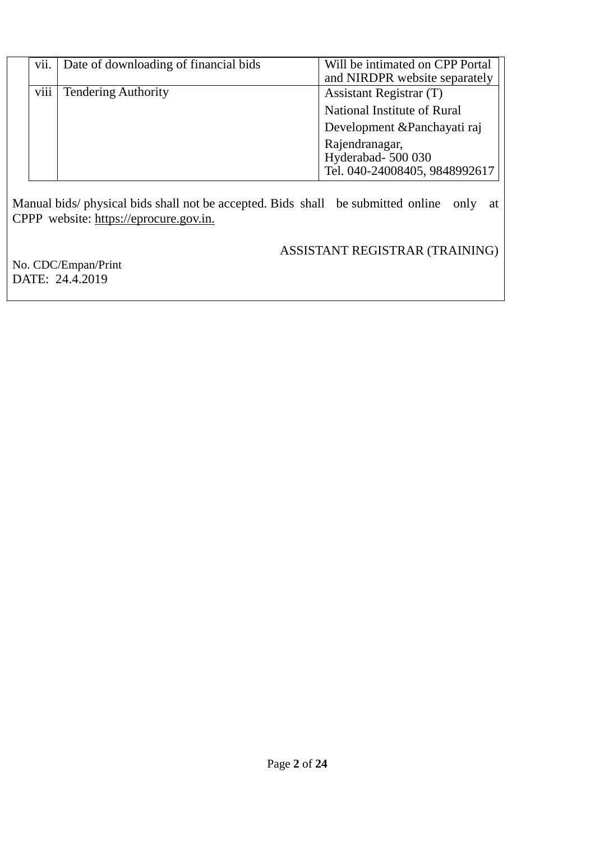| vii. | Date of downloading of financial bids | Will be intimated on CPP Portal<br>and NIRDPR website separately |
|------|---------------------------------------|------------------------------------------------------------------|
| viii | <b>Tendering Authority</b>            | Assistant Registrar (T)                                          |
|      |                                       | National Institute of Rural                                      |
|      |                                       | Development &Panchayati raj                                      |
|      |                                       | Rajendranagar,                                                   |
|      |                                       | Hyderabad-500 030                                                |
|      |                                       | Tel. 040-24008405, 9848992617                                    |

Manual bids/ physical bids shall not be accepted. Bids shall be submitted online only at CPPP website: https://eprocure.gov.in.

ASSISTANT REGISTRAR (TRAINING)

No. [CDC/Empan/Print](https://nirdpr.eoffice.gov.in/eFile/?x=SHyQfLkVy89cQ7RrYwwGtVP2GiiqKf-F) DATE: 24.4.2019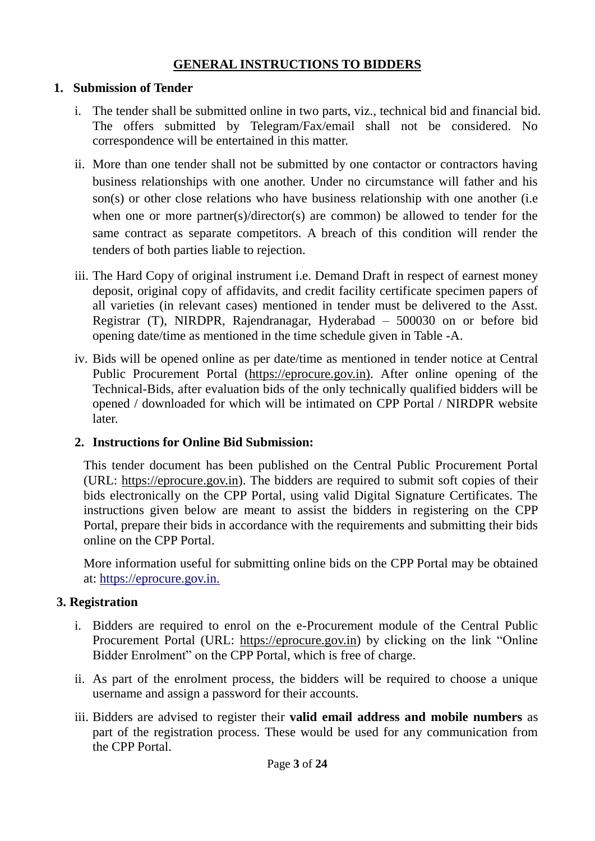## **GENERAL INSTRUCTIONS TO BIDDERS**

### **1. Submission of Tender**

- i. The tender shall be submitted online in two parts, viz., technical bid and financial bid. The offers submitted by Telegram/Fax/email shall not be considered. No correspondence will be entertained in this matter.
- ii. More than one tender shall not be submitted by one contactor or contractors having business relationships with one another. Under no circumstance will father and his son(s) or other close relations who have business relationship with one another (i.e when one or more partner(s)/director(s) are common) be allowed to tender for the same contract as separate competitors. A breach of this condition will render the tenders of both parties liable to rejection.
- iii. The Hard Copy of original instrument i.e. Demand Draft in respect of earnest money deposit, original copy of affidavits, and credit facility certificate specimen papers of all varieties (in relevant cases) mentioned in tender must be delivered to the Asst. Registrar (T), NIRDPR, Rajendranagar, Hyderabad – 500030 on or before bid opening date/time as mentioned in the time schedule given in Table -A.
- iv. Bids will be opened online as per date/time as mentioned in tender notice at Central Public Procurement Portal (https://eprocure.gov.in). After online opening of the Technical-Bids, after evaluation bids of the only technically qualified bidders will be opened / downloaded for which will be intimated on CPP Portal / NIRDPR website later.

## **2. Instructions for Online Bid Submission:**

This tender document has been published on the Central Public Procurement Portal (URL: https://eprocure.gov.in). The bidders are required to submit soft copies of their bids electronically on the CPP Portal, using valid Digital Signature Certificates. The instructions given below are meant to assist the bidders in registering on the CPP Portal, prepare their bids in accordance with the requirements and submitting their bids online on the CPP Portal.

More information useful for submitting online bids on the CPP Portal may be obtained at: https://eprocure.gov.in.

## **3. Registration**

- i. Bidders are required to enrol on the e-Procurement module of the Central Public Procurement Portal (URL: https://eprocure.gov.in) by clicking on the link "Online Bidder Enrolment" on the CPP Portal, which is free of charge.
- ii. As part of the enrolment process, the bidders will be required to choose a unique username and assign a password for their accounts.
- iii. Bidders are advised to register their **valid email address and mobile numbers** as part of the registration process. These would be used for any communication from the CPP Portal.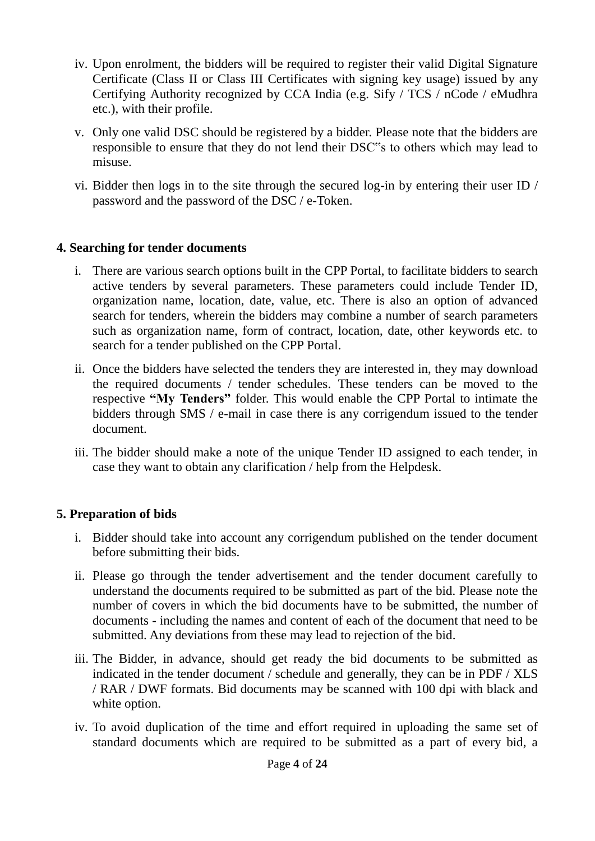- iv. Upon enrolment, the bidders will be required to register their valid Digital Signature Certificate (Class II or Class III Certificates with signing key usage) issued by any Certifying Authority recognized by CCA India (e.g. Sify / TCS / nCode / eMudhra etc.), with their profile.
- v. Only one valid DSC should be registered by a bidder. Please note that the bidders are responsible to ensure that they do not lend their DSC"s to others which may lead to misuse.
- vi. Bidder then logs in to the site through the secured log-in by entering their user ID / password and the password of the DSC / e-Token.

# **4. Searching for tender documents**

- i. There are various search options built in the CPP Portal, to facilitate bidders to search active tenders by several parameters. These parameters could include Tender ID, organization name, location, date, value, etc. There is also an option of advanced search for tenders, wherein the bidders may combine a number of search parameters such as organization name, form of contract, location, date, other keywords etc. to search for a tender published on the CPP Portal.
- ii. Once the bidders have selected the tenders they are interested in, they may download the required documents / tender schedules. These tenders can be moved to the respective **"My Tenders"** folder. This would enable the CPP Portal to intimate the bidders through SMS / e-mail in case there is any corrigendum issued to the tender document.
- iii. The bidder should make a note of the unique Tender ID assigned to each tender, in case they want to obtain any clarification / help from the Helpdesk.

# **5. Preparation of bids**

- i. Bidder should take into account any corrigendum published on the tender document before submitting their bids.
- ii. Please go through the tender advertisement and the tender document carefully to understand the documents required to be submitted as part of the bid. Please note the number of covers in which the bid documents have to be submitted, the number of documents - including the names and content of each of the document that need to be submitted. Any deviations from these may lead to rejection of the bid.
- iii. The Bidder, in advance, should get ready the bid documents to be submitted as indicated in the tender document / schedule and generally, they can be in PDF / XLS / RAR / DWF formats. Bid documents may be scanned with 100 dpi with black and white option.
- iv. To avoid duplication of the time and effort required in uploading the same set of standard documents which are required to be submitted as a part of every bid, a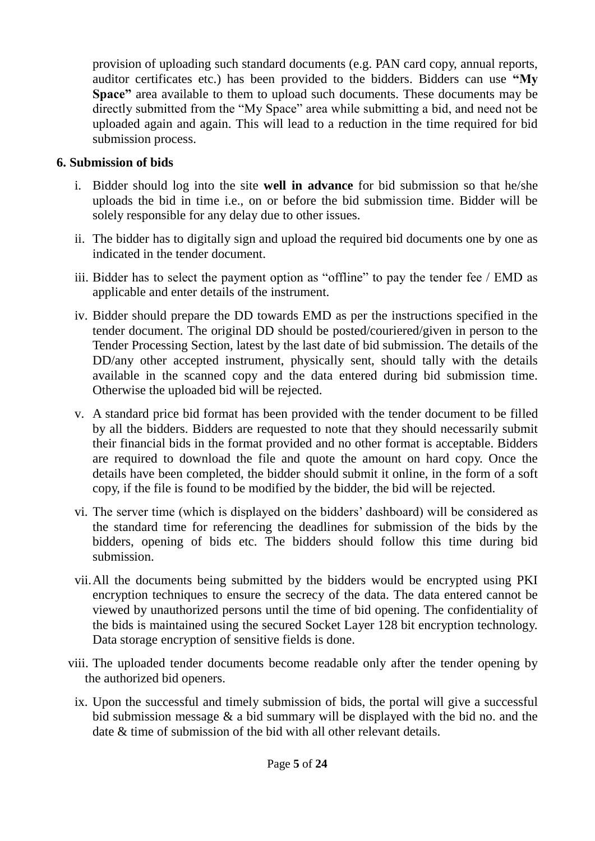provision of uploading such standard documents (e.g. PAN card copy, annual reports, auditor certificates etc.) has been provided to the bidders. Bidders can use **"My Space"** area available to them to upload such documents. These documents may be directly submitted from the "My Space" area while submitting a bid, and need not be uploaded again and again. This will lead to a reduction in the time required for bid submission process.

## **6. Submission of bids**

- i. Bidder should log into the site **well in advance** for bid submission so that he/she uploads the bid in time i.e., on or before the bid submission time. Bidder will be solely responsible for any delay due to other issues.
- ii. The bidder has to digitally sign and upload the required bid documents one by one as indicated in the tender document.
- iii. Bidder has to select the payment option as "offline" to pay the tender fee / EMD as applicable and enter details of the instrument.
- iv. Bidder should prepare the DD towards EMD as per the instructions specified in the tender document. The original DD should be posted/couriered/given in person to the Tender Processing Section, latest by the last date of bid submission. The details of the DD/any other accepted instrument, physically sent, should tally with the details available in the scanned copy and the data entered during bid submission time. Otherwise the uploaded bid will be rejected.
- v. A standard price bid format has been provided with the tender document to be filled by all the bidders. Bidders are requested to note that they should necessarily submit their financial bids in the format provided and no other format is acceptable. Bidders are required to download the file and quote the amount on hard copy. Once the details have been completed, the bidder should submit it online, in the form of a soft copy, if the file is found to be modified by the bidder, the bid will be rejected.
- vi. The server time (which is displayed on the bidders' dashboard) will be considered as the standard time for referencing the deadlines for submission of the bids by the bidders, opening of bids etc. The bidders should follow this time during bid submission.
- vii.All the documents being submitted by the bidders would be encrypted using PKI encryption techniques to ensure the secrecy of the data. The data entered cannot be viewed by unauthorized persons until the time of bid opening. The confidentiality of the bids is maintained using the secured Socket Layer 128 bit encryption technology. Data storage encryption of sensitive fields is done.
- viii. The uploaded tender documents become readable only after the tender opening by the authorized bid openers.
- ix. Upon the successful and timely submission of bids, the portal will give a successful bid submission message & a bid summary will be displayed with the bid no. and the date & time of submission of the bid with all other relevant details.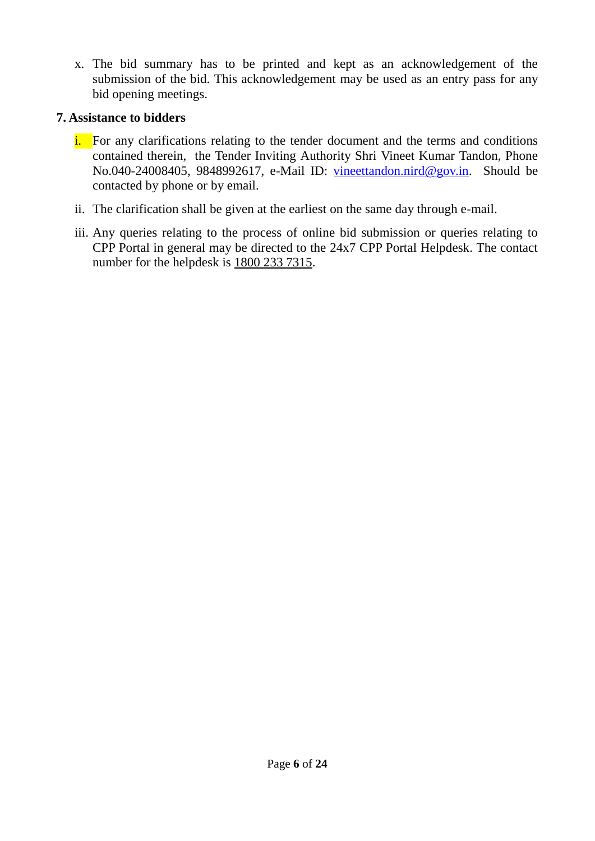x. The bid summary has to be printed and kept as an acknowledgement of the submission of the bid. This acknowledgement may be used as an entry pass for any bid opening meetings.

## **7. Assistance to bidders**

- i. For any clarifications relating to the tender document and the terms and conditions contained therein, the Tender Inviting Authority Shri Vineet Kumar Tandon, Phone No.040-24008405, 9848992617, e-Mail ID: [vineettandon.nird@gov.in.](mailto:vineettandon.nird@gov.in) Should be contacted by phone or by email.
- ii. The clarification shall be given at the earliest on the same day through e-mail.
- iii. Any queries relating to the process of online bid submission or queries relating to CPP Portal in general may be directed to the 24x7 CPP Portal Helpdesk. The contact number for the helpdesk is 1800 233 7315.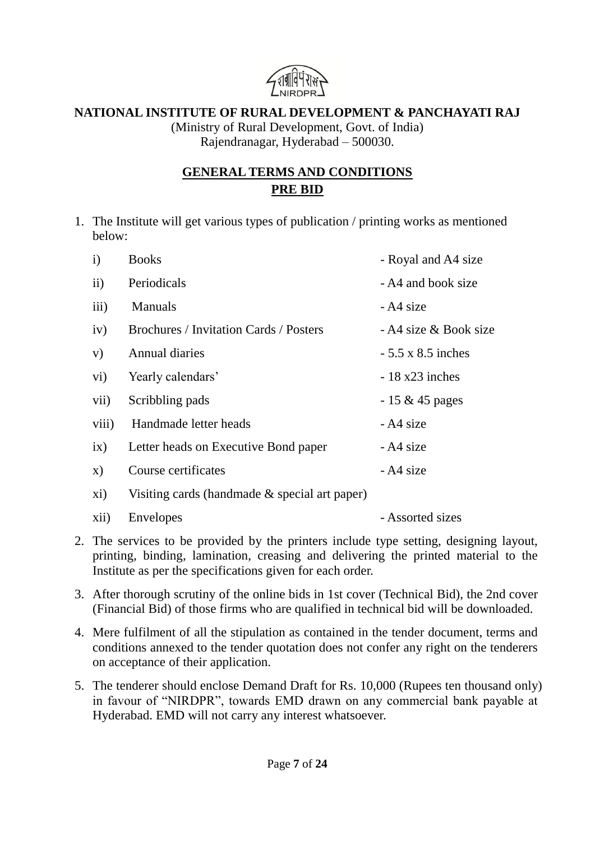

(Ministry of Rural Development, Govt. of India) Rajendranagar, Hyderabad – 500030.

# **GENERAL TERMS AND CONDITIONS PRE BID**

1. The Institute will get various types of publication / printing works as mentioned below:

| $\mathbf{i}$      | <b>Books</b>                           | - Royal and A4 size      |
|-------------------|----------------------------------------|--------------------------|
| ii)               | Periodicals                            | - A4 and book size       |
| iii)              | <b>Manuals</b>                         | - A4 size                |
| iv)               | Brochures / Invitation Cards / Posters | - A4 size & Book size    |
| V)                | <b>Annual diaries</b>                  | $-5.5 \times 8.5$ inches |
| $\overline{vi}$ ) | Yearly calendars'                      | $-18x23$ inches          |
| vii)              | Scribbling pads                        | $-15 & 45$ pages         |
| viii)             | Handmade letter heads                  | - A4 size                |
| ix)               | Letter heads on Executive Bond paper   | - A4 size                |
| $\mathbf{X}$      | Course certificates                    | - A4 size                |
|                   |                                        |                          |

xi) Visiting cards (handmade & special art paper)

- 2. The services to be provided by the printers include type setting, designing layout, printing, binding, lamination, creasing and delivering the printed material to the Institute as per the specifications given for each order.
- 3. After thorough scrutiny of the online bids in 1st cover (Technical Bid), the 2nd cover (Financial Bid) of those firms who are qualified in technical bid will be downloaded.
- 4. Mere fulfilment of all the stipulation as contained in the tender document, terms and conditions annexed to the tender quotation does not confer any right on the tenderers on acceptance of their application.
- 5. The tenderer should enclose Demand Draft for Rs. 10,000 (Rupees ten thousand only) in favour of "NIRDPR", towards EMD drawn on any commercial bank payable at Hyderabad. EMD will not carry any interest whatsoever.

xii) Envelopes - Assorted sizes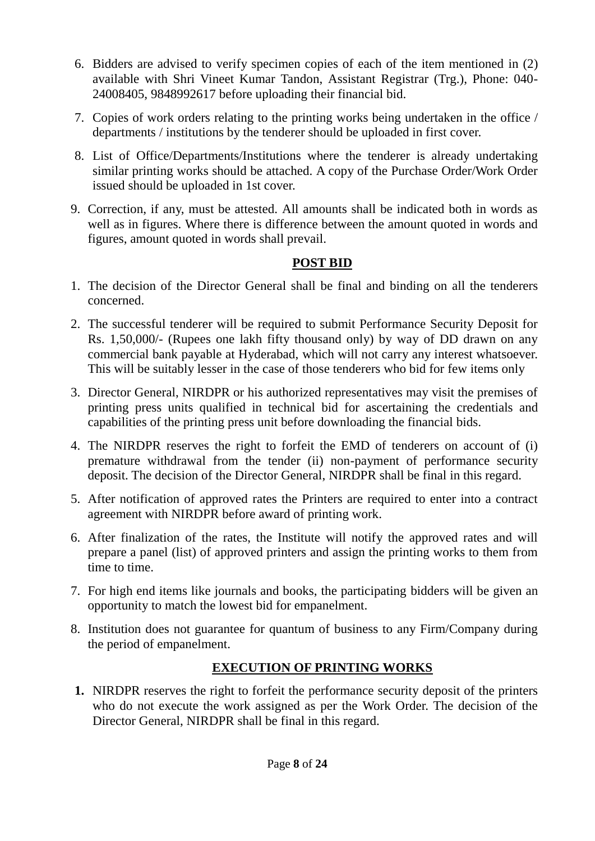- 6. Bidders are advised to verify specimen copies of each of the item mentioned in (2) available with Shri Vineet Kumar Tandon, Assistant Registrar (Trg.), Phone: 040- 24008405, 9848992617 before uploading their financial bid.
- 7. Copies of work orders relating to the printing works being undertaken in the office / departments / institutions by the tenderer should be uploaded in first cover.
- 8. List of Office/Departments/Institutions where the tenderer is already undertaking similar printing works should be attached. A copy of the Purchase Order/Work Order issued should be uploaded in 1st cover.
- 9. Correction, if any, must be attested. All amounts shall be indicated both in words as well as in figures. Where there is difference between the amount quoted in words and figures, amount quoted in words shall prevail.

# **POST BID**

- 1. The decision of the Director General shall be final and binding on all the tenderers concerned.
- 2. The successful tenderer will be required to submit Performance Security Deposit for Rs. 1,50,000/- (Rupees one lakh fifty thousand only) by way of DD drawn on any commercial bank payable at Hyderabad, which will not carry any interest whatsoever. This will be suitably lesser in the case of those tenderers who bid for few items only
- 3. Director General, NIRDPR or his authorized representatives may visit the premises of printing press units qualified in technical bid for ascertaining the credentials and capabilities of the printing press unit before downloading the financial bids.
- 4. The NIRDPR reserves the right to forfeit the EMD of tenderers on account of (i) premature withdrawal from the tender (ii) non-payment of performance security deposit. The decision of the Director General, NIRDPR shall be final in this regard.
- 5. After notification of approved rates the Printers are required to enter into a contract agreement with NIRDPR before award of printing work.
- 6. After finalization of the rates, the Institute will notify the approved rates and will prepare a panel (list) of approved printers and assign the printing works to them from time to time.
- 7. For high end items like journals and books, the participating bidders will be given an opportunity to match the lowest bid for empanelment.
- 8. Institution does not guarantee for quantum of business to any Firm/Company during the period of empanelment.

# **EXECUTION OF PRINTING WORKS**

**1.** NIRDPR reserves the right to forfeit the performance security deposit of the printers who do not execute the work assigned as per the Work Order. The decision of the Director General, NIRDPR shall be final in this regard.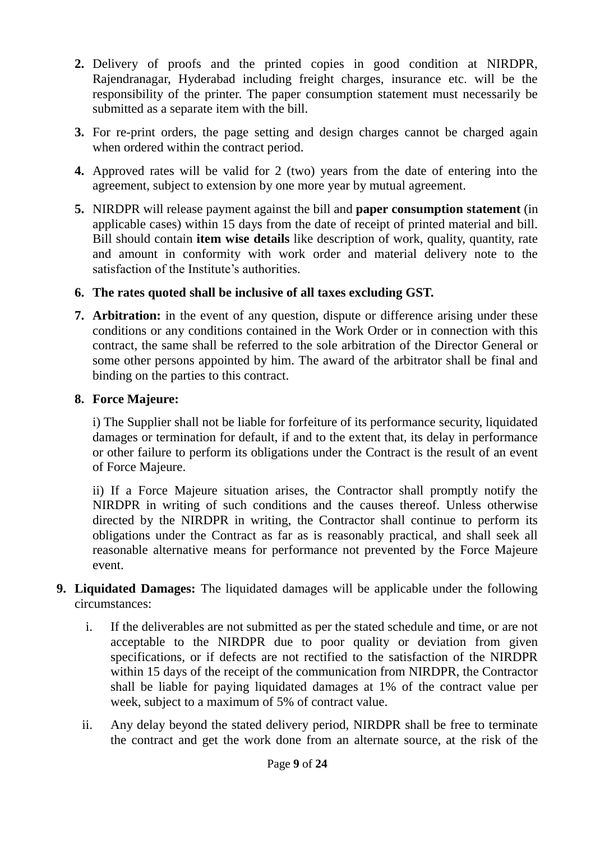- **2.** Delivery of proofs and the printed copies in good condition at NIRDPR, Rajendranagar, Hyderabad including freight charges, insurance etc. will be the responsibility of the printer. The paper consumption statement must necessarily be submitted as a separate item with the bill.
- **3.** For re-print orders, the page setting and design charges cannot be charged again when ordered within the contract period.
- **4.** Approved rates will be valid for 2 (two) years from the date of entering into the agreement, subject to extension by one more year by mutual agreement.
- **5.** NIRDPR will release payment against the bill and **paper consumption statement** (in applicable cases) within 15 days from the date of receipt of printed material and bill. Bill should contain **item wise details** like description of work, quality, quantity, rate and amount in conformity with work order and material delivery note to the satisfaction of the Institute's authorities.
- **6. The rates quoted shall be inclusive of all taxes excluding GST.**
- **7. Arbitration:** in the event of any question, dispute or difference arising under these conditions or any conditions contained in the Work Order or in connection with this contract, the same shall be referred to the sole arbitration of the Director General or some other persons appointed by him. The award of the arbitrator shall be final and binding on the parties to this contract.

# **8. Force Majeure:**

i) The Supplier shall not be liable for forfeiture of its performance security, liquidated damages or termination for default, if and to the extent that, its delay in performance or other failure to perform its obligations under the Contract is the result of an event of Force Majeure.

ii) If a Force Majeure situation arises, the Contractor shall promptly notify the NIRDPR in writing of such conditions and the causes thereof. Unless otherwise directed by the NIRDPR in writing, the Contractor shall continue to perform its obligations under the Contract as far as is reasonably practical, and shall seek all reasonable alternative means for performance not prevented by the Force Majeure event.

- **9. Liquidated Damages:** The liquidated damages will be applicable under the following circumstances:
	- i. If the deliverables are not submitted as per the stated schedule and time, or are not acceptable to the NIRDPR due to poor quality or deviation from given specifications, or if defects are not rectified to the satisfaction of the NIRDPR within 15 days of the receipt of the communication from NIRDPR, the Contractor shall be liable for paying liquidated damages at 1% of the contract value per week, subject to a maximum of 5% of contract value.
	- ii. Any delay beyond the stated delivery period, NIRDPR shall be free to terminate the contract and get the work done from an alternate source, at the risk of the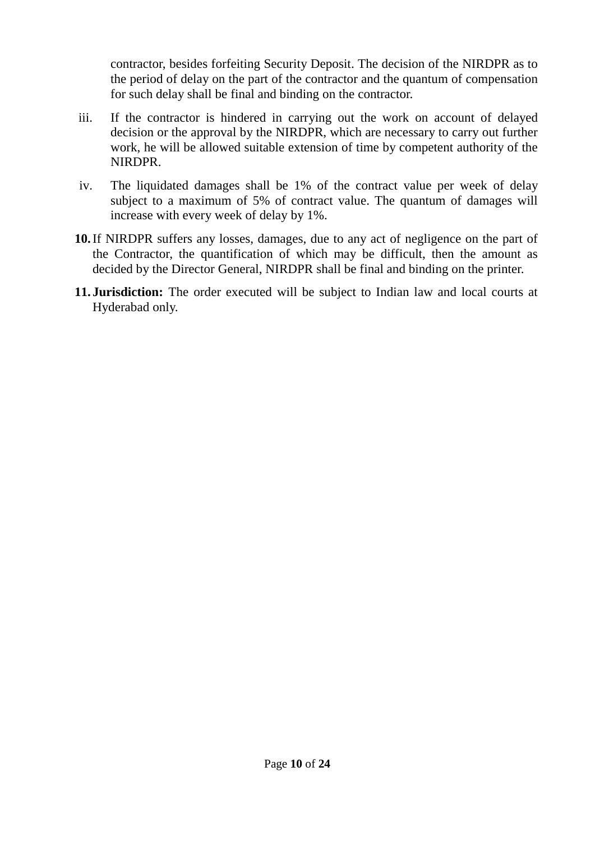contractor, besides forfeiting Security Deposit. The decision of the NIRDPR as to the period of delay on the part of the contractor and the quantum of compensation for such delay shall be final and binding on the contractor.

- iii. If the contractor is hindered in carrying out the work on account of delayed decision or the approval by the NIRDPR, which are necessary to carry out further work, he will be allowed suitable extension of time by competent authority of the NIRDPR.
- iv. The liquidated damages shall be 1% of the contract value per week of delay subject to a maximum of 5% of contract value. The quantum of damages will increase with every week of delay by 1%.
- **10.**If NIRDPR suffers any losses, damages, due to any act of negligence on the part of the Contractor, the quantification of which may be difficult, then the amount as decided by the Director General, NIRDPR shall be final and binding on the printer.
- **11. Jurisdiction:** The order executed will be subject to Indian law and local courts at Hyderabad only.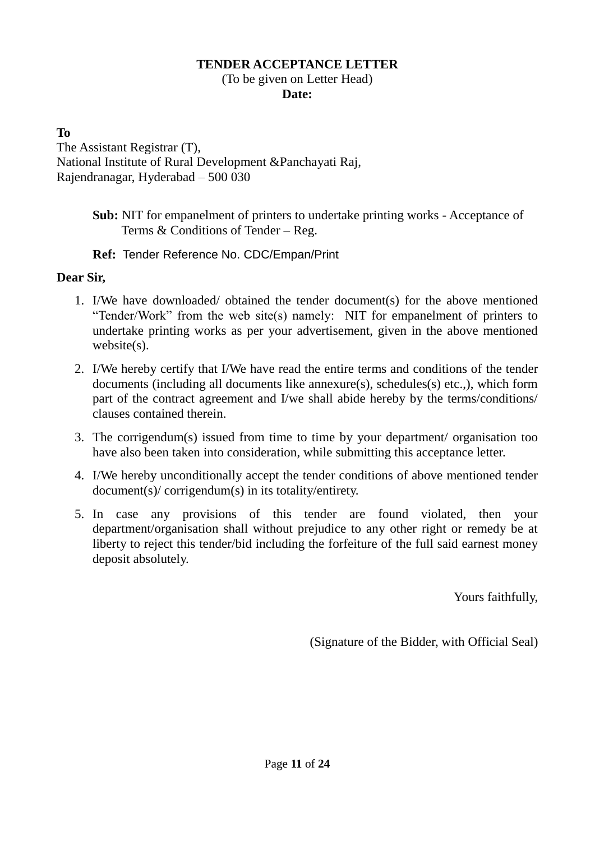#### **TENDER ACCEPTANCE LETTER** (To be given on Letter Head) **Date:**

**To**

The Assistant Registrar (T), National Institute of Rural Development &Panchayati Raj, Rajendranagar, Hyderabad – 500 030

> **Sub:** NIT for empanelment of printers to undertake printing works - Acceptance of Terms & Conditions of Tender – Reg.

# **Ref:** Tender Reference No. [CDC/Empan/Print](https://nirdpr.eoffice.gov.in/eFile/?x=SHyQfLkVy89cQ7RrYwwGtVP2GiiqKf-F)

# **Dear Sir,**

- 1. I/We have downloaded/ obtained the tender document(s) for the above mentioned "Tender/Work" from the web site(s) namely: NIT for empanelment of printers to undertake printing works as per your advertisement, given in the above mentioned website(s).
- 2. I/We hereby certify that I/We have read the entire terms and conditions of the tender documents (including all documents like annexure(s), schedules(s) etc.,), which form part of the contract agreement and I/we shall abide hereby by the terms/conditions/ clauses contained therein.
- 3. The corrigendum(s) issued from time to time by your department/ organisation too have also been taken into consideration, while submitting this acceptance letter.
- 4. I/We hereby unconditionally accept the tender conditions of above mentioned tender document(s)/ corrigendum(s) in its totality/entirety.
- 5. In case any provisions of this tender are found violated, then your department/organisation shall without prejudice to any other right or remedy be at liberty to reject this tender/bid including the forfeiture of the full said earnest money deposit absolutely.

Yours faithfully,

(Signature of the Bidder, with Official Seal)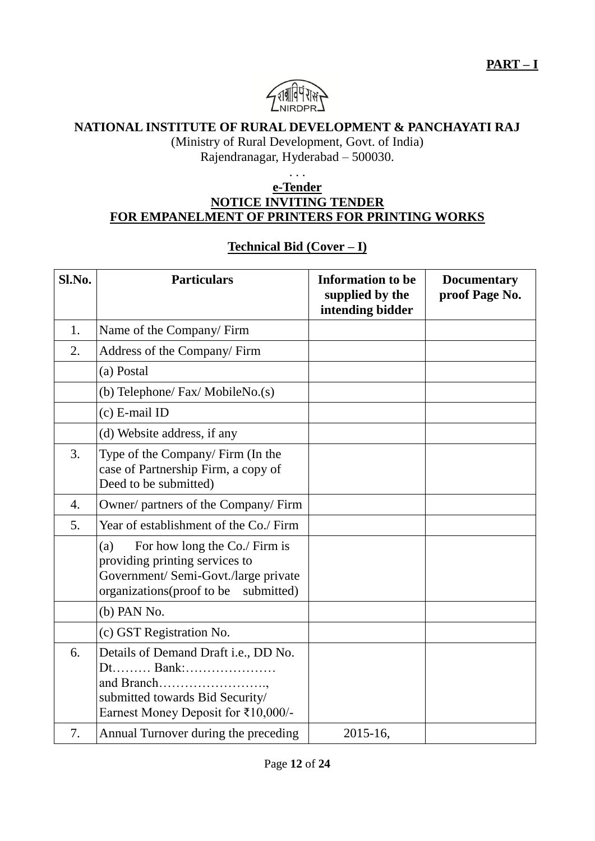

(Ministry of Rural Development, Govt. of India) Rajendranagar, Hyderabad – 500030.

> . . . **e-Tender**

# **NOTICE INVITING TENDER FOR EMPANELMENT OF PRINTERS FOR PRINTING WORKS**

### **Technical Bid (Cover – I)**

| Sl.No.           | <b>Particulars</b>                                                                                                                                         | <b>Information to be</b><br>supplied by the<br>intending bidder | <b>Documentary</b><br>proof Page No. |
|------------------|------------------------------------------------------------------------------------------------------------------------------------------------------------|-----------------------------------------------------------------|--------------------------------------|
| 1.               | Name of the Company/Firm                                                                                                                                   |                                                                 |                                      |
| 2.               | Address of the Company/Firm                                                                                                                                |                                                                 |                                      |
|                  | (a) Postal                                                                                                                                                 |                                                                 |                                      |
|                  | (b) Telephone/ Fax/ MobileNo.(s)                                                                                                                           |                                                                 |                                      |
|                  | $(c)$ E-mail ID                                                                                                                                            |                                                                 |                                      |
|                  | (d) Website address, if any                                                                                                                                |                                                                 |                                      |
| 3.               | Type of the Company/Firm (In the<br>case of Partnership Firm, a copy of<br>Deed to be submitted)                                                           |                                                                 |                                      |
| $\overline{4}$ . | Owner/ partners of the Company/ Firm                                                                                                                       |                                                                 |                                      |
| 5.               | Year of establishment of the Co./ Firm                                                                                                                     |                                                                 |                                      |
|                  | For how long the Co./ Firm is<br>(a)<br>providing printing services to<br>Government/ Semi-Govt./large private<br>submitted)<br>organizations (proof to be |                                                                 |                                      |
|                  | $(b)$ PAN No.                                                                                                                                              |                                                                 |                                      |
|                  | (c) GST Registration No.                                                                                                                                   |                                                                 |                                      |
| 6.               | Details of Demand Draft i.e., DD No.<br>and Branch<br>submitted towards Bid Security/<br>Earnest Money Deposit for ₹10,000/-                               |                                                                 |                                      |
| 7.               | Annual Turnover during the preceding                                                                                                                       | $2015 - 16$ ,                                                   |                                      |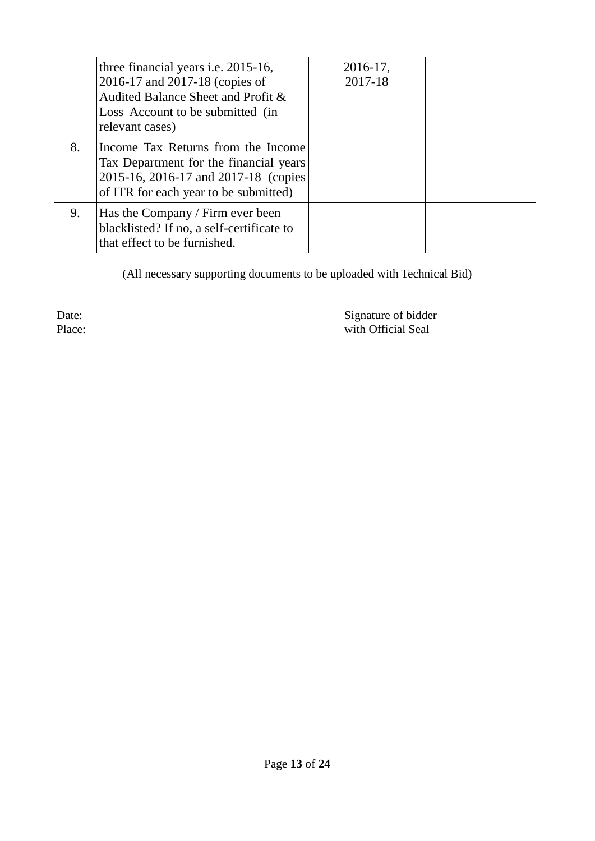|    | three financial years <i>i.e.</i> 2015-16,<br>2016-17 and 2017-18 (copies of<br>Audited Balance Sheet and Profit &<br>Loss Account to be submitted (in<br>relevant cases) | $2016-17$ ,<br>2017-18 |  |
|----|---------------------------------------------------------------------------------------------------------------------------------------------------------------------------|------------------------|--|
| 8. | Income Tax Returns from the Income<br>Tax Department for the financial years<br>2015-16, 2016-17 and 2017-18 (copies)<br>of ITR for each year to be submitted)            |                        |  |
| 9. | Has the Company / Firm ever been<br>blacklisted? If no, a self-certificate to<br>that effect to be furnished.                                                             |                        |  |

(All necessary supporting documents to be uploaded with Technical Bid)

Date: Signature of bidder Place: with Official Seal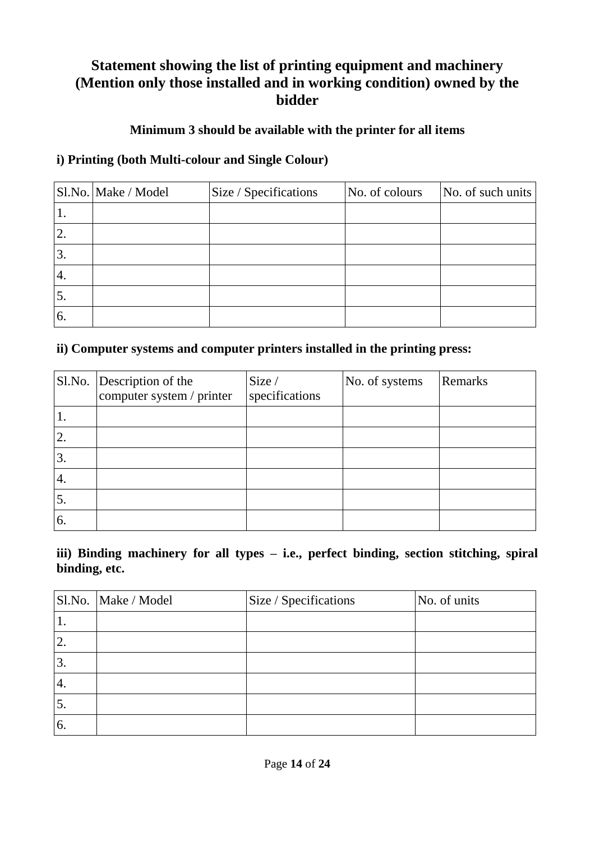# **Statement showing the list of printing equipment and machinery (Mention only those installed and in working condition) owned by the bidder**

## **Minimum 3 should be available with the printer for all items**

# **i) Printing (both Multi-colour and Single Colour)**

|    | Sl.No. Make / Model | Size / Specifications | No. of colours | No. of such units |
|----|---------------------|-----------------------|----------------|-------------------|
| Ι, |                     |                       |                |                   |
| 2. |                     |                       |                |                   |
| 3. |                     |                       |                |                   |
| 4. |                     |                       |                |                   |
| 5. |                     |                       |                |                   |
| 6. |                     |                       |                |                   |

### **ii) Computer systems and computer printers installed in the printing press:**

| Sl.No. | Description of the<br>computer system / printer | Size /<br>specifications | No. of systems | Remarks |
|--------|-------------------------------------------------|--------------------------|----------------|---------|
| Ι.     |                                                 |                          |                |         |
| 2.     |                                                 |                          |                |         |
| 3.     |                                                 |                          |                |         |
| 4.     |                                                 |                          |                |         |
| 5.     |                                                 |                          |                |         |
| 6.     |                                                 |                          |                |         |

### **iii) Binding machinery for all types – i.e., perfect binding, section stitching, spiral binding, etc.**

|                  | Sl.No.   Make / Model | Size / Specifications | No. of units |
|------------------|-----------------------|-----------------------|--------------|
| 1.               |                       |                       |              |
| 2.               |                       |                       |              |
| 3.               |                       |                       |              |
| $\overline{4}$ . |                       |                       |              |
| 5.               |                       |                       |              |
| 6.               |                       |                       |              |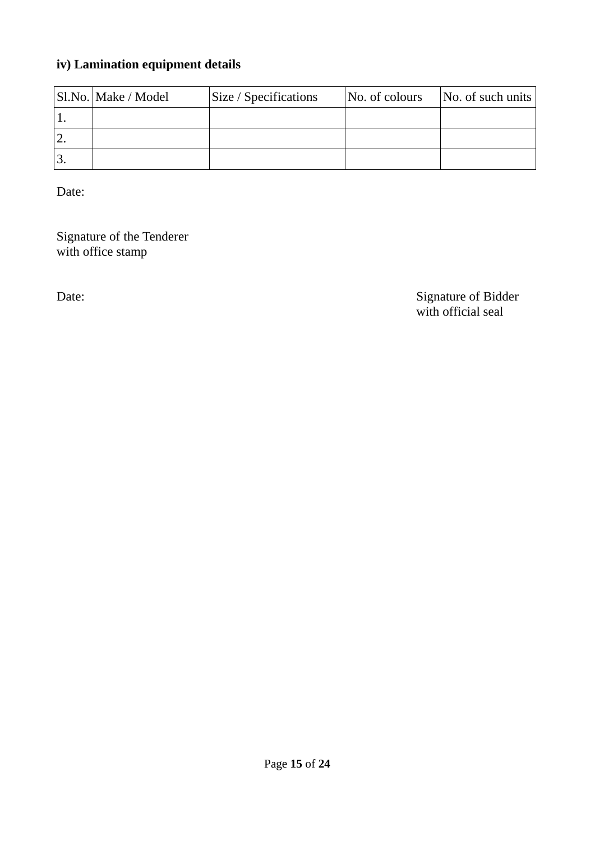# **iv) Lamination equipment details**

| Sl.No. Make / Model | Size / Specifications | $\vert$ No. of colours | No. of such units |
|---------------------|-----------------------|------------------------|-------------------|
|                     |                       |                        |                   |
|                     |                       |                        |                   |
|                     |                       |                        |                   |

Date:

Signature of the Tenderer with office stamp

Date: Signature of Bidder with official seal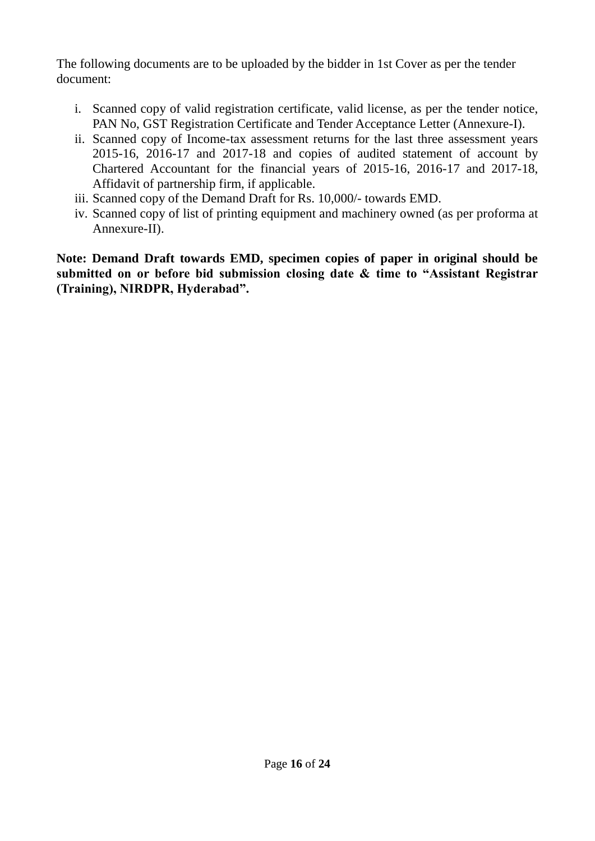The following documents are to be uploaded by the bidder in 1st Cover as per the tender document:

- i. Scanned copy of valid registration certificate, valid license, as per the tender notice, PAN No, GST Registration Certificate and Tender Acceptance Letter (Annexure-I).
- ii. Scanned copy of Income-tax assessment returns for the last three assessment years 2015-16, 2016-17 and 2017-18 and copies of audited statement of account by Chartered Accountant for the financial years of 2015-16, 2016-17 and 2017-18, Affidavit of partnership firm, if applicable.
- iii. Scanned copy of the Demand Draft for Rs. 10,000/- towards EMD.
- iv. Scanned copy of list of printing equipment and machinery owned (as per proforma at Annexure-II).

**Note: Demand Draft towards EMD, specimen copies of paper in original should be submitted on or before bid submission closing date & time to "Assistant Registrar (Training), NIRDPR, Hyderabad".**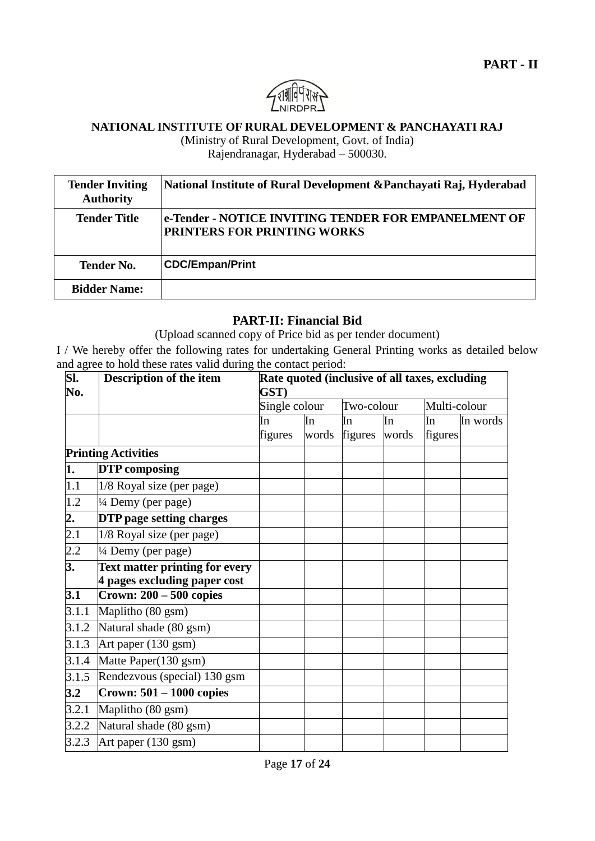

(Ministry of Rural Development, Govt. of India) Rajendranagar, Hyderabad – 500030.

| <b>Tender Inviting</b><br><b>Authority</b> | National Institute of Rural Development & Panchayati Raj, Hyderabad                        |
|--------------------------------------------|--------------------------------------------------------------------------------------------|
| <b>Tender Title</b>                        | e-Tender - NOTICE INVITING TENDER FOR EMPANELMENT OF<br><b>PRINTERS FOR PRINTING WORKS</b> |
| <b>Tender No.</b>                          | <b>CDC/Empan/Print</b>                                                                     |
| <b>Bidder Name:</b>                        |                                                                                            |

#### **PART-II: Financial Bid**

(Upload scanned copy of Price bid as per tender document)

I / We hereby offer the following rates for undertaking General Printing works as detailed below and agree to hold these rates valid during the contact period:

| SI.<br>No.       | Description of the item                  | Rate quoted (inclusive of all taxes, excluding<br>GST) |    |               |       |              |          |
|------------------|------------------------------------------|--------------------------------------------------------|----|---------------|-------|--------------|----------|
|                  |                                          | Single colour                                          |    | Two-colour    |       | Multi-colour |          |
|                  |                                          | In                                                     | In | In            | In    | In           | In words |
|                  |                                          | figures                                                |    | words figures | words | figures      |          |
|                  | <b>Printing Activities</b>               |                                                        |    |               |       |              |          |
| 1.               | <b>DTP</b> composing                     |                                                        |    |               |       |              |          |
| 1.1              | 1/8 Royal size (per page)                |                                                        |    |               |       |              |          |
| 1.2              | $\overline{\frac{1}{4}}$ Demy (per page) |                                                        |    |               |       |              |          |
| $\frac{2}{2.1}$  | <b>DTP</b> page setting charges          |                                                        |    |               |       |              |          |
|                  | 1/8 Royal size (per page)                |                                                        |    |               |       |              |          |
| $\frac{2.2}{3.}$ | 1/4 Demy (per page)                      |                                                        |    |               |       |              |          |
|                  | <b>Text matter printing for every</b>    |                                                        |    |               |       |              |          |
|                  | 4 pages excluding paper cost             |                                                        |    |               |       |              |          |
| 3.1              | Crown: $200 - 500$ copies                |                                                        |    |               |       |              |          |
| 3.1.1            | Maplitho (80 gsm)                        |                                                        |    |               |       |              |          |
| 3.1.2            | Natural shade (80 gsm)                   |                                                        |    |               |       |              |          |
| 3.1.3            | Art paper (130 gsm)                      |                                                        |    |               |       |              |          |
| 3.1.4            | Matte Paper(130 gsm)                     |                                                        |    |               |       |              |          |
| 3.1.5            | Rendezvous (special) 130 gsm             |                                                        |    |               |       |              |          |
| 3.2              | Crown: $501 - 1000$ copies               |                                                        |    |               |       |              |          |
| 3.2.1            | Maplitho (80 gsm)                        |                                                        |    |               |       |              |          |
| 3.2.2            | Natural shade (80 gsm)                   |                                                        |    |               |       |              |          |
| 3.2.3            | Art paper (130 gsm)                      |                                                        |    |               |       |              |          |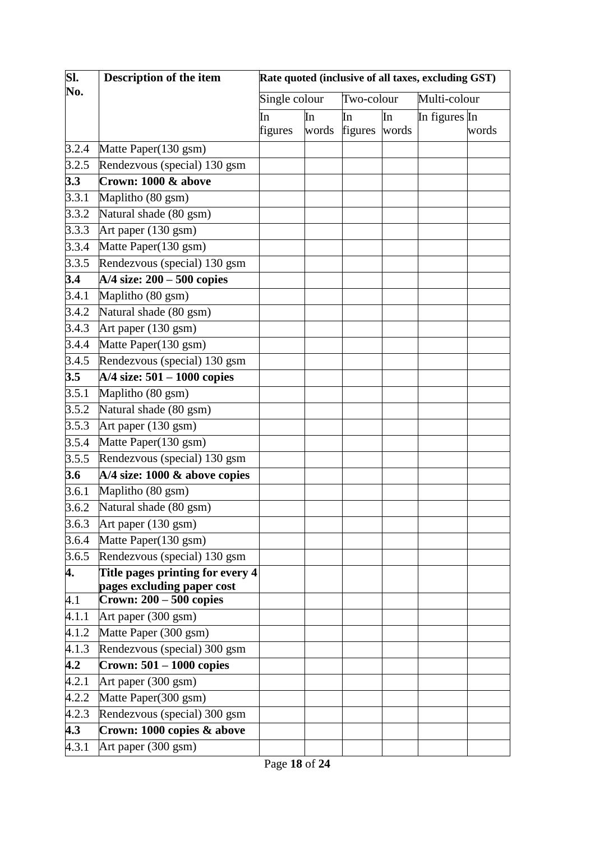| SI.                | Description of the item                                        | Rate quoted (inclusive of all taxes, excluding GST) |       |               |    |               |       |
|--------------------|----------------------------------------------------------------|-----------------------------------------------------|-------|---------------|----|---------------|-------|
| No.                |                                                                | Single colour                                       |       | Two-colour    |    | Multi-colour  |       |
|                    |                                                                | In                                                  | In    | In            | In | In figures In |       |
|                    |                                                                | figures                                             | words | figures words |    |               | words |
| 3.2.4              | Matte Paper(130 gsm)                                           |                                                     |       |               |    |               |       |
| 3.2.5              | Rendezvous (special) 130 gsm                                   |                                                     |       |               |    |               |       |
| 3.3                | Crown: 1000 & above                                            |                                                     |       |               |    |               |       |
| 3.3.1              | Maplitho (80 gsm)                                              |                                                     |       |               |    |               |       |
| 3.3.2              | Natural shade (80 gsm)                                         |                                                     |       |               |    |               |       |
| 3.3.3              | Art paper (130 gsm)                                            |                                                     |       |               |    |               |       |
| 3.3.4              | Matte Paper(130 gsm)                                           |                                                     |       |               |    |               |       |
| 3.3.5              | Rendezvous (special) 130 gsm                                   |                                                     |       |               |    |               |       |
| 3.4                | $A/4$ size: $200 - 500$ copies                                 |                                                     |       |               |    |               |       |
| 3.4.1              | Maplitho (80 gsm)                                              |                                                     |       |               |    |               |       |
| 3.4.2              | Natural shade (80 gsm)                                         |                                                     |       |               |    |               |       |
| 3.4.3              | Art paper (130 gsm)                                            |                                                     |       |               |    |               |       |
| 3.4.4              | Matte Paper(130 gsm)                                           |                                                     |       |               |    |               |       |
| 3.4.5              | Rendezvous (special) 130 gsm                                   |                                                     |       |               |    |               |       |
| 3.5                | $A/4$ size: 501 – 1000 copies                                  |                                                     |       |               |    |               |       |
| 3.5.1              | Maplitho (80 gsm)                                              |                                                     |       |               |    |               |       |
| 3.5.2              | Natural shade (80 gsm)                                         |                                                     |       |               |    |               |       |
| 3.5.3              | Art paper (130 gsm)                                            |                                                     |       |               |    |               |       |
| 3.5.4              | Matte Paper(130 gsm)                                           |                                                     |       |               |    |               |       |
| 3.5.5              | Rendezvous (special) 130 gsm                                   |                                                     |       |               |    |               |       |
| 3.6                | A/4 size: 1000 & above copies                                  |                                                     |       |               |    |               |       |
| 3.6.1              | Maplitho (80 gsm)                                              |                                                     |       |               |    |               |       |
| 3.6.2              | Natural shade (80 gsm)                                         |                                                     |       |               |    |               |       |
| 3.6.3              | Art paper (130 gsm)                                            |                                                     |       |               |    |               |       |
| 3.6.4              | Matte Paper(130 gsm)                                           |                                                     |       |               |    |               |       |
| 3.6.5              | Rendezvous (special) 130 gsm                                   |                                                     |       |               |    |               |       |
| 4.                 | Title pages printing for every 4<br>pages excluding paper cost |                                                     |       |               |    |               |       |
| 4.1                | Crown: $200 - 500$ copies                                      |                                                     |       |               |    |               |       |
| 4.1.1              | Art paper (300 gsm)                                            |                                                     |       |               |    |               |       |
| 4.1.2              | Matte Paper (300 gsm)                                          |                                                     |       |               |    |               |       |
| 4.1.3              | Rendezvous (special) 300 gsm                                   |                                                     |       |               |    |               |       |
| 4.2                | Crown: 501 - 1000 copies                                       |                                                     |       |               |    |               |       |
| $\overline{4.2.1}$ | Art paper (300 gsm)                                            |                                                     |       |               |    |               |       |
| 4.2.2              | Matte Paper(300 gsm)                                           |                                                     |       |               |    |               |       |
| 4.2.3              | Rendezvous (special) 300 gsm                                   |                                                     |       |               |    |               |       |
| 4.3                | Crown: 1000 copies & above                                     |                                                     |       |               |    |               |       |
| 4.3.1              | Art paper (300 gsm)                                            |                                                     |       |               |    |               |       |
|                    |                                                                |                                                     |       |               |    |               |       |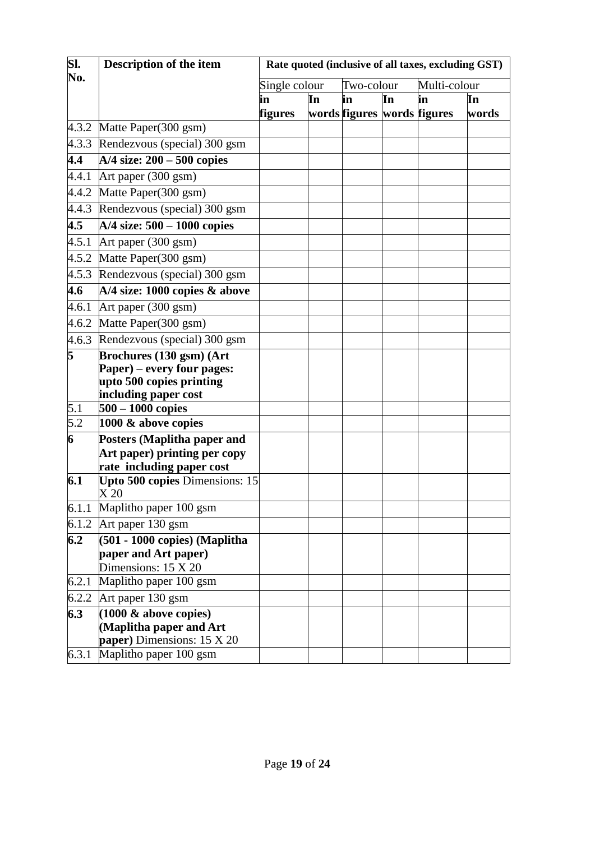| Single colour<br>Multi-colour<br>Two-colour<br>In<br>In<br>In<br>in<br>in<br>in<br>words figures words figures<br>words<br>figures<br>$4.3.2$ Matte Paper(300 gsm)<br>4.3.3<br>Rendezvous (special) 300 gsm<br>4.4<br>$A/4$ size: $200 - 500$ copies<br>4.4.1<br>Art paper (300 gsm)<br>Matte Paper(300 gsm)<br>Rendezvous (special) 300 gsm<br>$\overline{A/4}$ size: 500 - 1000 copies<br>Art paper (300 gsm)<br>Matte Paper(300 gsm)<br>Rendezvous (special) 300 gsm<br>$A/4$ size: 1000 copies $\&$ above<br>Art paper (300 gsm)<br>Matte Paper(300 gsm)<br>Rendezvous (special) 300 gsm<br>Brochures (130 gsm) (Art<br>Paper) – every four pages:<br>upto 500 copies printing<br>including paper cost<br>$500 - 1000$ copies<br>5.1<br>$\overline{5.2}$<br>1000 & above copies<br>6<br>Posters (Maplitha paper and<br>Art paper) printing per copy<br>rate including paper cost<br>Upto 500 copies Dimensions: 15<br>X <sub>20</sub><br>Maplitho paper 100 gsm<br>Art paper 130 gsm<br>6.2<br>(501 - 1000 copies) (Maplitha<br>paper and Art paper)<br>Dimensions: 15 X 20<br>6.2.1<br>Maplitho paper 100 gsm<br>6.2.2<br>Art paper 130 gsm<br>6.3<br>$(1000 \& above copies)$<br>(Maplitha paper and Art<br>paper) Dimensions: $15 \times 20$ | Sl.<br>No.     | Description of the item | Rate quoted (inclusive of all taxes, excluding GST) |  |  |  |  |  |  |
|-----------------------------------------------------------------------------------------------------------------------------------------------------------------------------------------------------------------------------------------------------------------------------------------------------------------------------------------------------------------------------------------------------------------------------------------------------------------------------------------------------------------------------------------------------------------------------------------------------------------------------------------------------------------------------------------------------------------------------------------------------------------------------------------------------------------------------------------------------------------------------------------------------------------------------------------------------------------------------------------------------------------------------------------------------------------------------------------------------------------------------------------------------------------------------------------------------------------------------------------------------|----------------|-------------------------|-----------------------------------------------------|--|--|--|--|--|--|
|                                                                                                                                                                                                                                                                                                                                                                                                                                                                                                                                                                                                                                                                                                                                                                                                                                                                                                                                                                                                                                                                                                                                                                                                                                                     |                |                         |                                                     |  |  |  |  |  |  |
|                                                                                                                                                                                                                                                                                                                                                                                                                                                                                                                                                                                                                                                                                                                                                                                                                                                                                                                                                                                                                                                                                                                                                                                                                                                     |                |                         |                                                     |  |  |  |  |  |  |
|                                                                                                                                                                                                                                                                                                                                                                                                                                                                                                                                                                                                                                                                                                                                                                                                                                                                                                                                                                                                                                                                                                                                                                                                                                                     |                |                         |                                                     |  |  |  |  |  |  |
|                                                                                                                                                                                                                                                                                                                                                                                                                                                                                                                                                                                                                                                                                                                                                                                                                                                                                                                                                                                                                                                                                                                                                                                                                                                     |                |                         |                                                     |  |  |  |  |  |  |
|                                                                                                                                                                                                                                                                                                                                                                                                                                                                                                                                                                                                                                                                                                                                                                                                                                                                                                                                                                                                                                                                                                                                                                                                                                                     |                |                         |                                                     |  |  |  |  |  |  |
|                                                                                                                                                                                                                                                                                                                                                                                                                                                                                                                                                                                                                                                                                                                                                                                                                                                                                                                                                                                                                                                                                                                                                                                                                                                     |                |                         |                                                     |  |  |  |  |  |  |
|                                                                                                                                                                                                                                                                                                                                                                                                                                                                                                                                                                                                                                                                                                                                                                                                                                                                                                                                                                                                                                                                                                                                                                                                                                                     |                |                         |                                                     |  |  |  |  |  |  |
|                                                                                                                                                                                                                                                                                                                                                                                                                                                                                                                                                                                                                                                                                                                                                                                                                                                                                                                                                                                                                                                                                                                                                                                                                                                     | 4.4.2          |                         |                                                     |  |  |  |  |  |  |
|                                                                                                                                                                                                                                                                                                                                                                                                                                                                                                                                                                                                                                                                                                                                                                                                                                                                                                                                                                                                                                                                                                                                                                                                                                                     | 4.4.3          |                         |                                                     |  |  |  |  |  |  |
|                                                                                                                                                                                                                                                                                                                                                                                                                                                                                                                                                                                                                                                                                                                                                                                                                                                                                                                                                                                                                                                                                                                                                                                                                                                     | 4.5            |                         |                                                     |  |  |  |  |  |  |
|                                                                                                                                                                                                                                                                                                                                                                                                                                                                                                                                                                                                                                                                                                                                                                                                                                                                                                                                                                                                                                                                                                                                                                                                                                                     | 4.5.1          |                         |                                                     |  |  |  |  |  |  |
|                                                                                                                                                                                                                                                                                                                                                                                                                                                                                                                                                                                                                                                                                                                                                                                                                                                                                                                                                                                                                                                                                                                                                                                                                                                     | 4.5.2          |                         |                                                     |  |  |  |  |  |  |
|                                                                                                                                                                                                                                                                                                                                                                                                                                                                                                                                                                                                                                                                                                                                                                                                                                                                                                                                                                                                                                                                                                                                                                                                                                                     | 4.5.3          |                         |                                                     |  |  |  |  |  |  |
|                                                                                                                                                                                                                                                                                                                                                                                                                                                                                                                                                                                                                                                                                                                                                                                                                                                                                                                                                                                                                                                                                                                                                                                                                                                     | 4.6            |                         |                                                     |  |  |  |  |  |  |
|                                                                                                                                                                                                                                                                                                                                                                                                                                                                                                                                                                                                                                                                                                                                                                                                                                                                                                                                                                                                                                                                                                                                                                                                                                                     | 4.6.1          |                         |                                                     |  |  |  |  |  |  |
|                                                                                                                                                                                                                                                                                                                                                                                                                                                                                                                                                                                                                                                                                                                                                                                                                                                                                                                                                                                                                                                                                                                                                                                                                                                     | 4.6.2          |                         |                                                     |  |  |  |  |  |  |
|                                                                                                                                                                                                                                                                                                                                                                                                                                                                                                                                                                                                                                                                                                                                                                                                                                                                                                                                                                                                                                                                                                                                                                                                                                                     | 4.6.3          |                         |                                                     |  |  |  |  |  |  |
|                                                                                                                                                                                                                                                                                                                                                                                                                                                                                                                                                                                                                                                                                                                                                                                                                                                                                                                                                                                                                                                                                                                                                                                                                                                     | $\overline{5}$ |                         |                                                     |  |  |  |  |  |  |
|                                                                                                                                                                                                                                                                                                                                                                                                                                                                                                                                                                                                                                                                                                                                                                                                                                                                                                                                                                                                                                                                                                                                                                                                                                                     |                |                         |                                                     |  |  |  |  |  |  |
|                                                                                                                                                                                                                                                                                                                                                                                                                                                                                                                                                                                                                                                                                                                                                                                                                                                                                                                                                                                                                                                                                                                                                                                                                                                     |                |                         |                                                     |  |  |  |  |  |  |
|                                                                                                                                                                                                                                                                                                                                                                                                                                                                                                                                                                                                                                                                                                                                                                                                                                                                                                                                                                                                                                                                                                                                                                                                                                                     |                |                         |                                                     |  |  |  |  |  |  |
|                                                                                                                                                                                                                                                                                                                                                                                                                                                                                                                                                                                                                                                                                                                                                                                                                                                                                                                                                                                                                                                                                                                                                                                                                                                     |                |                         |                                                     |  |  |  |  |  |  |
|                                                                                                                                                                                                                                                                                                                                                                                                                                                                                                                                                                                                                                                                                                                                                                                                                                                                                                                                                                                                                                                                                                                                                                                                                                                     |                |                         |                                                     |  |  |  |  |  |  |
|                                                                                                                                                                                                                                                                                                                                                                                                                                                                                                                                                                                                                                                                                                                                                                                                                                                                                                                                                                                                                                                                                                                                                                                                                                                     |                |                         |                                                     |  |  |  |  |  |  |
|                                                                                                                                                                                                                                                                                                                                                                                                                                                                                                                                                                                                                                                                                                                                                                                                                                                                                                                                                                                                                                                                                                                                                                                                                                                     |                |                         |                                                     |  |  |  |  |  |  |
|                                                                                                                                                                                                                                                                                                                                                                                                                                                                                                                                                                                                                                                                                                                                                                                                                                                                                                                                                                                                                                                                                                                                                                                                                                                     | 6.1            |                         |                                                     |  |  |  |  |  |  |
|                                                                                                                                                                                                                                                                                                                                                                                                                                                                                                                                                                                                                                                                                                                                                                                                                                                                                                                                                                                                                                                                                                                                                                                                                                                     | 6.1.1          |                         |                                                     |  |  |  |  |  |  |
|                                                                                                                                                                                                                                                                                                                                                                                                                                                                                                                                                                                                                                                                                                                                                                                                                                                                                                                                                                                                                                                                                                                                                                                                                                                     | 6.1.2          |                         |                                                     |  |  |  |  |  |  |
|                                                                                                                                                                                                                                                                                                                                                                                                                                                                                                                                                                                                                                                                                                                                                                                                                                                                                                                                                                                                                                                                                                                                                                                                                                                     |                |                         |                                                     |  |  |  |  |  |  |
|                                                                                                                                                                                                                                                                                                                                                                                                                                                                                                                                                                                                                                                                                                                                                                                                                                                                                                                                                                                                                                                                                                                                                                                                                                                     |                |                         |                                                     |  |  |  |  |  |  |
|                                                                                                                                                                                                                                                                                                                                                                                                                                                                                                                                                                                                                                                                                                                                                                                                                                                                                                                                                                                                                                                                                                                                                                                                                                                     |                |                         |                                                     |  |  |  |  |  |  |
|                                                                                                                                                                                                                                                                                                                                                                                                                                                                                                                                                                                                                                                                                                                                                                                                                                                                                                                                                                                                                                                                                                                                                                                                                                                     |                |                         |                                                     |  |  |  |  |  |  |
|                                                                                                                                                                                                                                                                                                                                                                                                                                                                                                                                                                                                                                                                                                                                                                                                                                                                                                                                                                                                                                                                                                                                                                                                                                                     |                |                         |                                                     |  |  |  |  |  |  |
|                                                                                                                                                                                                                                                                                                                                                                                                                                                                                                                                                                                                                                                                                                                                                                                                                                                                                                                                                                                                                                                                                                                                                                                                                                                     |                |                         |                                                     |  |  |  |  |  |  |
|                                                                                                                                                                                                                                                                                                                                                                                                                                                                                                                                                                                                                                                                                                                                                                                                                                                                                                                                                                                                                                                                                                                                                                                                                                                     |                |                         |                                                     |  |  |  |  |  |  |
|                                                                                                                                                                                                                                                                                                                                                                                                                                                                                                                                                                                                                                                                                                                                                                                                                                                                                                                                                                                                                                                                                                                                                                                                                                                     | 6.3.1          | Maplitho paper 100 gsm  |                                                     |  |  |  |  |  |  |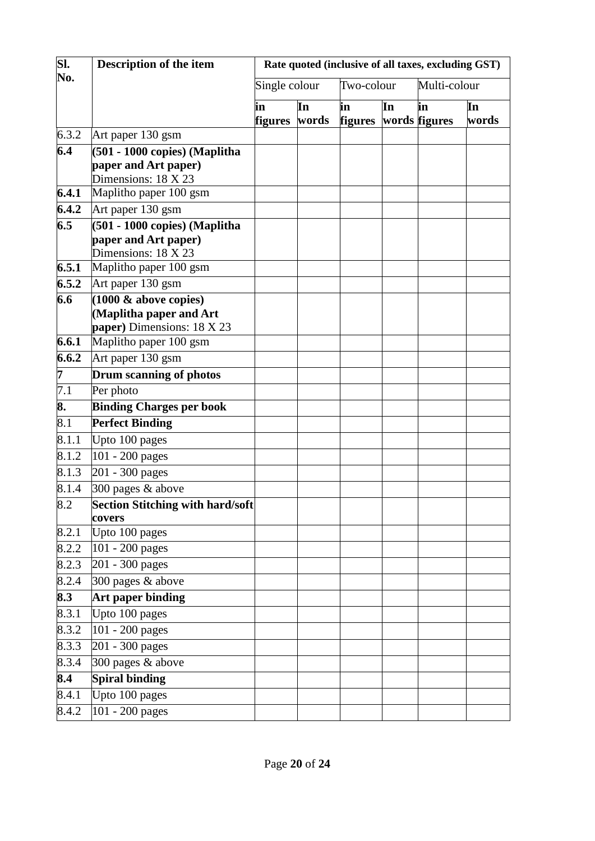| Sl.                | Description of the item                           | Rate quoted (inclusive of all taxes, excluding GST) |             |                      |    |                     |             |  |  |
|--------------------|---------------------------------------------------|-----------------------------------------------------|-------------|----------------------|----|---------------------|-------------|--|--|
| No.                |                                                   | Single colour                                       |             | Two-colour           |    | Multi-colour        |             |  |  |
|                    |                                                   | in<br><b>figures</b>                                | In<br>words | in<br><b>figures</b> | In | in<br>words figures | In<br>words |  |  |
| 6.3.2              | Art paper 130 gsm                                 |                                                     |             |                      |    |                     |             |  |  |
| 6.4                | (501 - 1000 copies) (Maplitha                     |                                                     |             |                      |    |                     |             |  |  |
|                    | paper and Art paper)                              |                                                     |             |                      |    |                     |             |  |  |
|                    | Dimensions: 18 X 23                               |                                                     |             |                      |    |                     |             |  |  |
| 6.4.1              | Maplitho paper 100 gsm                            |                                                     |             |                      |    |                     |             |  |  |
| 6.4.2              | Art paper 130 gsm                                 |                                                     |             |                      |    |                     |             |  |  |
| 6.5                | $(501 - 1000 \text{ copies})$ (Maplitha           |                                                     |             |                      |    |                     |             |  |  |
|                    | paper and Art paper)<br>Dimensions: 18 X 23       |                                                     |             |                      |    |                     |             |  |  |
| 6.5.1              | Maplitho paper 100 gsm                            |                                                     |             |                      |    |                     |             |  |  |
| 6.5.2              | Art paper 130 gsm                                 |                                                     |             |                      |    |                     |             |  |  |
| 6.6                | $(1000 \& above copies)$                          |                                                     |             |                      |    |                     |             |  |  |
|                    | (Maplitha paper and Art                           |                                                     |             |                      |    |                     |             |  |  |
|                    | paper) Dimensions: 18 X 23                        |                                                     |             |                      |    |                     |             |  |  |
| 6.6.1              | Maplitho paper 100 gsm                            |                                                     |             |                      |    |                     |             |  |  |
| 6.6.2              | Art paper 130 gsm                                 |                                                     |             |                      |    |                     |             |  |  |
| 7                  | <b>Drum scanning of photos</b>                    |                                                     |             |                      |    |                     |             |  |  |
| $\overline{7.1}$   | Per photo                                         |                                                     |             |                      |    |                     |             |  |  |
| 8.                 | <b>Binding Charges per book</b>                   |                                                     |             |                      |    |                     |             |  |  |
| 8.1                | <b>Perfect Binding</b>                            |                                                     |             |                      |    |                     |             |  |  |
| 8.1.1              | Upto 100 pages                                    |                                                     |             |                      |    |                     |             |  |  |
| 8.1.2              | 101 - 200 pages                                   |                                                     |             |                      |    |                     |             |  |  |
| 8.1.3              | 201 - 300 pages                                   |                                                     |             |                      |    |                     |             |  |  |
| 8.1.4              | 300 pages & above                                 |                                                     |             |                      |    |                     |             |  |  |
| 8.2                | <b>Section Stitching with hard/soft</b><br>covers |                                                     |             |                      |    |                     |             |  |  |
| 8.2.1              | Upto 100 pages                                    |                                                     |             |                      |    |                     |             |  |  |
| 8.2.2              | 101 - 200 pages                                   |                                                     |             |                      |    |                     |             |  |  |
| 8.2.3              | $\overline{201}$ - 300 pages                      |                                                     |             |                      |    |                     |             |  |  |
| 8.2.4              | 300 pages & above                                 |                                                     |             |                      |    |                     |             |  |  |
| 8.3                | Art paper binding                                 |                                                     |             |                      |    |                     |             |  |  |
| 8.3.1              | Upto 100 pages                                    |                                                     |             |                      |    |                     |             |  |  |
| 8.3.2              | 101 - 200 pages                                   |                                                     |             |                      |    |                     |             |  |  |
| 8.3.3              | 201 - 300 pages                                   |                                                     |             |                      |    |                     |             |  |  |
| 8.3.4              | 300 pages & above                                 |                                                     |             |                      |    |                     |             |  |  |
| 8.4                | <b>Spiral binding</b>                             |                                                     |             |                      |    |                     |             |  |  |
| 8.4.1              | Upto 100 pages                                    |                                                     |             |                      |    |                     |             |  |  |
| $\overline{8}.4.2$ | 101 - 200 pages                                   |                                                     |             |                      |    |                     |             |  |  |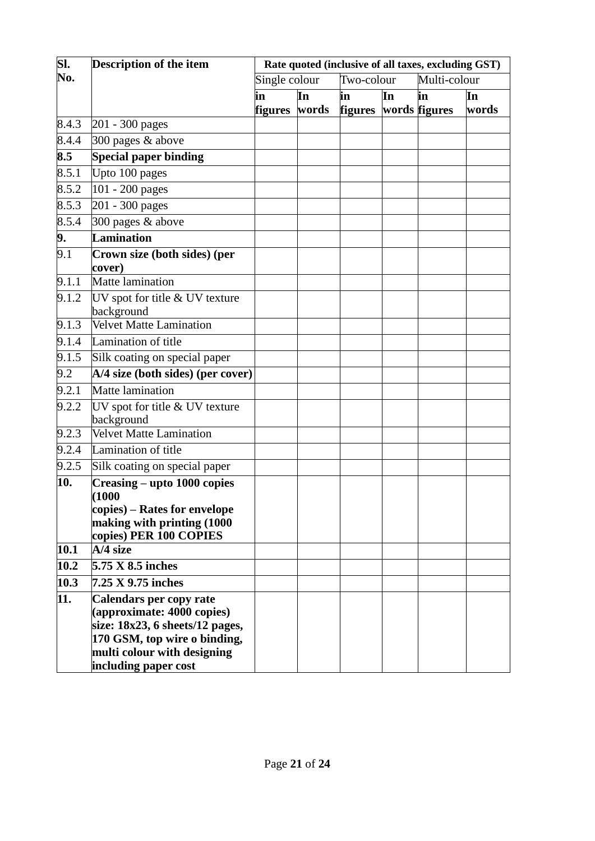| SI.                       | Description of the item                             |                | Rate quoted (inclusive of all taxes, excluding GST) |                |    |               |       |  |
|---------------------------|-----------------------------------------------------|----------------|-----------------------------------------------------|----------------|----|---------------|-------|--|
| No.                       |                                                     | Single colour  |                                                     | Two-colour     |    | Multi-colour  |       |  |
|                           |                                                     | in             | In                                                  | in             | In | in            | In    |  |
|                           |                                                     | <b>figures</b> | words                                               | <b>figures</b> |    | words figures | words |  |
| 8.4.3                     | 201 - 300 pages                                     |                |                                                     |                |    |               |       |  |
| 8.4.4                     | 300 pages & above                                   |                |                                                     |                |    |               |       |  |
| $\overline{\textbf{8.5}}$ | <b>Special paper binding</b>                        |                |                                                     |                |    |               |       |  |
| 8.5.1                     | Upto 100 pages                                      |                |                                                     |                |    |               |       |  |
| 8.5.2                     | 101 - 200 pages                                     |                |                                                     |                |    |               |       |  |
| 8.5.3                     | 201 - 300 pages                                     |                |                                                     |                |    |               |       |  |
| 8.5.4                     | 300 pages & above                                   |                |                                                     |                |    |               |       |  |
| 9.                        | <b>Lamination</b>                                   |                |                                                     |                |    |               |       |  |
| 9.1                       | Crown size (both sides) (per                        |                |                                                     |                |    |               |       |  |
|                           | cover)                                              |                |                                                     |                |    |               |       |  |
| 9.1.1                     | Matte lamination                                    |                |                                                     |                |    |               |       |  |
| 9.1.2                     | UV spot for title & UV texture                      |                |                                                     |                |    |               |       |  |
|                           | background                                          |                |                                                     |                |    |               |       |  |
| 9.1.3                     | <b>Velvet Matte Lamination</b>                      |                |                                                     |                |    |               |       |  |
| 9.1.4                     | Lamination of title                                 |                |                                                     |                |    |               |       |  |
| 9.1.5                     | Silk coating on special paper                       |                |                                                     |                |    |               |       |  |
| 9.2                       | A/4 size (both sides) (per cover)                   |                |                                                     |                |    |               |       |  |
| 9.2.1                     | Matte lamination                                    |                |                                                     |                |    |               |       |  |
| 9.2.2                     | $\overline{UV}$ spot for title & UV texture         |                |                                                     |                |    |               |       |  |
|                           | background                                          |                |                                                     |                |    |               |       |  |
| 9.2.3                     | <b>Velvet Matte Lamination</b>                      |                |                                                     |                |    |               |       |  |
| 9.2.4                     | Lamination of title                                 |                |                                                     |                |    |               |       |  |
| 9.2.5                     | Silk coating on special paper                       |                |                                                     |                |    |               |       |  |
| 10.                       | Creasing – upto 1000 copies                         |                |                                                     |                |    |               |       |  |
|                           | (1000)<br>copies) – Rates for envelope              |                |                                                     |                |    |               |       |  |
|                           | making with printing (1000                          |                |                                                     |                |    |               |       |  |
|                           | copies) PER 100 COPIES                              |                |                                                     |                |    |               |       |  |
| 10.1                      | $A/4$ size                                          |                |                                                     |                |    |               |       |  |
| 10.2                      | $5.75 \times 8.5$ inches                            |                |                                                     |                |    |               |       |  |
| 10.3                      | $7.25 \text{ X } 9.75 \text{ inches}$               |                |                                                     |                |    |               |       |  |
| 11.                       | Calendars per copy rate                             |                |                                                     |                |    |               |       |  |
|                           | (approximate: 4000 copies)                          |                |                                                     |                |    |               |       |  |
|                           | size: $18x23$ , 6 sheets/12 pages,                  |                |                                                     |                |    |               |       |  |
|                           | 170 GSM, top wire o binding,                        |                |                                                     |                |    |               |       |  |
|                           | multi colour with designing<br>including paper cost |                |                                                     |                |    |               |       |  |
|                           |                                                     |                |                                                     |                |    |               |       |  |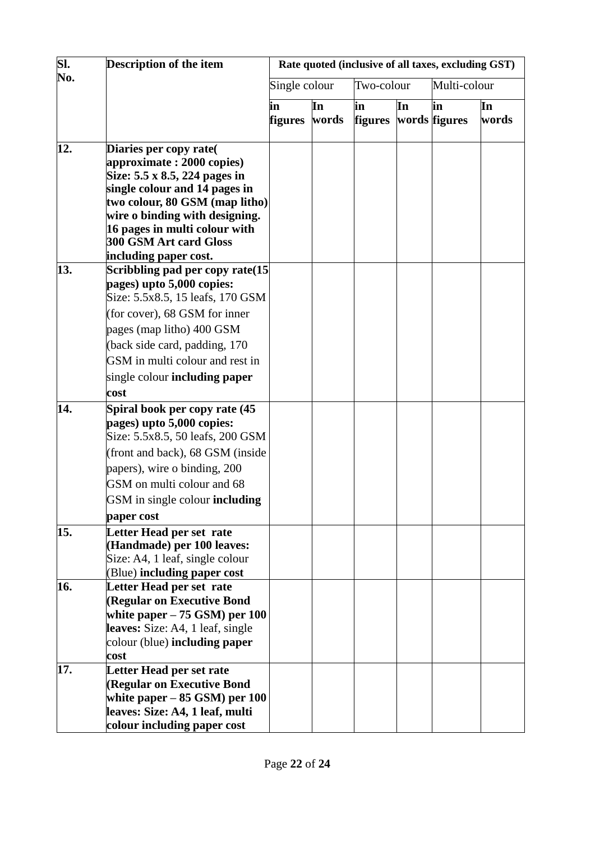| Sl. | Description of the item                                                                                                                                                                                                                                                             | Rate quoted (inclusive of all taxes, excluding GST) |             |                      |    |                     |             |  |
|-----|-------------------------------------------------------------------------------------------------------------------------------------------------------------------------------------------------------------------------------------------------------------------------------------|-----------------------------------------------------|-------------|----------------------|----|---------------------|-------------|--|
| No. |                                                                                                                                                                                                                                                                                     | Single colour                                       |             | Two-colour           |    | Multi-colour        |             |  |
|     |                                                                                                                                                                                                                                                                                     | in<br><b>figures</b>                                | In<br>words | in<br><b>figures</b> | In | in<br>words figures | In<br>words |  |
| 12. | Diaries per copy rate<br>approximate: 2000 copies)<br>Size: 5.5 x 8.5, 224 pages in<br>single colour and 14 pages in<br>two colour, 80 GSM (map litho)<br>wire o binding with designing.<br>16 pages in multi colour with<br>300 GSM Art card Gloss<br>including paper cost.        |                                                     |             |                      |    |                     |             |  |
| 13. | Scribbling pad per copy rate(15<br>pages) upto 5,000 copies:<br>Size: 5.5x8.5, 15 leafs, 170 GSM<br>(for cover), 68 GSM for inner<br>pages (map litho) 400 GSM<br>(back side card, padding, 170)<br>GSM in multi colour and rest in<br>single colour <b>including paper</b><br>cost |                                                     |             |                      |    |                     |             |  |
| 14. | Spiral book per copy rate (45<br>pages) upto 5,000 copies:<br>Size: 5.5x8.5, 50 leafs, 200 GSM<br>(front and back), 68 GSM (inside<br>papers), wire o binding, 200<br>GSM on multi colour and 68<br>GSM in single colour <b>including</b><br>paper cost                             |                                                     |             |                      |    |                     |             |  |
| 15. | Letter Head per set rate<br>(Handmade) per 100 leaves:<br>Size: A4, 1 leaf, single colour<br>(Blue) including paper cost                                                                                                                                                            |                                                     |             |                      |    |                     |             |  |
| 16. | Letter Head per set rate<br>(Regular on Executive Bond<br>white paper $-75$ GSM) per 100<br>leaves: Size: A4, 1 leaf, single<br>colour (blue) including paper<br>cost                                                                                                               |                                                     |             |                      |    |                     |             |  |
| 17. | Letter Head per set rate<br>(Regular on Executive Bond<br>white paper $-85$ GSM) per 100<br>leaves: Size: A4, 1 leaf, multi<br>colour including paper cost                                                                                                                          |                                                     |             |                      |    |                     |             |  |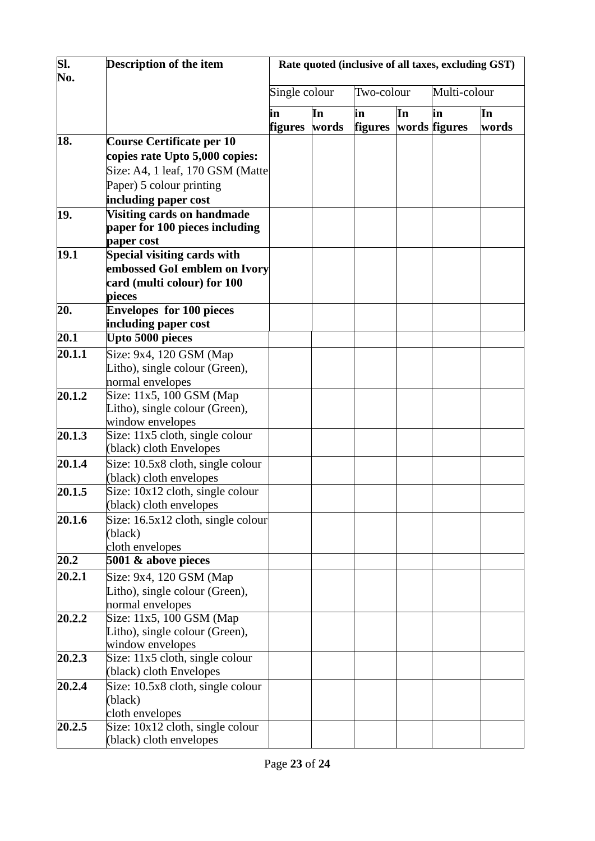| SI.<br>No. | Description of the item                                                                                                                                    | Rate quoted (inclusive of all taxes, excluding GST) |             |                      |    |                     |             |  |
|------------|------------------------------------------------------------------------------------------------------------------------------------------------------------|-----------------------------------------------------|-------------|----------------------|----|---------------------|-------------|--|
|            |                                                                                                                                                            | Single colour                                       |             | Two-colour           |    | Multi-colour        |             |  |
|            |                                                                                                                                                            | in<br><b>figures</b>                                | In<br>words | in<br><b>figures</b> | In | in<br>words figures | In<br>words |  |
| 18.        | <b>Course Certificate per 10</b><br>copies rate Upto 5,000 copies:<br>Size: A4, 1 leaf, 170 GSM (Matte<br>Paper) 5 colour printing<br>including paper cost |                                                     |             |                      |    |                     |             |  |
| 19.        | <b>Visiting cards on handmade</b><br>paper for 100 pieces including<br>paper cost                                                                          |                                                     |             |                      |    |                     |             |  |
| 19.1       | Special visiting cards with<br>embossed GoI emblem on Ivory<br>card (multi colour) for 100<br>pieces                                                       |                                                     |             |                      |    |                     |             |  |
| 20.        | <b>Envelopes for 100 pieces</b><br>including paper cost                                                                                                    |                                                     |             |                      |    |                     |             |  |
| 20.1       | <b>Upto 5000 pieces</b>                                                                                                                                    |                                                     |             |                      |    |                     |             |  |
| 20.1.1     | Size: 9x4, 120 GSM (Map                                                                                                                                    |                                                     |             |                      |    |                     |             |  |
|            | Litho), single colour (Green),<br>normal envelopes                                                                                                         |                                                     |             |                      |    |                     |             |  |
| 20.1.2     | Size: 11x5, 100 GSM (Map<br>Litho), single colour (Green),<br>window envelopes                                                                             |                                                     |             |                      |    |                     |             |  |
| 20.1.3     | Size: 11x5 cloth, single colour<br>(black) cloth Envelopes                                                                                                 |                                                     |             |                      |    |                     |             |  |
| 20.1.4     | Size: 10.5x8 cloth, single colour<br>(black) cloth envelopes                                                                                               |                                                     |             |                      |    |                     |             |  |
| 20.1.5     | Size: 10x12 cloth, single colour<br>(black) cloth envelopes                                                                                                |                                                     |             |                      |    |                     |             |  |
| 20.1.6     | Size: 16.5x12 cloth, single colour<br>(black)<br>cloth envelopes                                                                                           |                                                     |             |                      |    |                     |             |  |
| 20.2       | 5001 & above pieces                                                                                                                                        |                                                     |             |                      |    |                     |             |  |
| 20.2.1     | Size: 9x4, 120 GSM (Map<br>Litho), single colour (Green),<br>normal envelopes                                                                              |                                                     |             |                      |    |                     |             |  |
| 20.2.2     | Size: 11x5, 100 GSM (Map<br>Litho), single colour (Green),<br>window envelopes                                                                             |                                                     |             |                      |    |                     |             |  |
| 20.2.3     | Size: $11x5$ cloth, single colour<br>(black) cloth Envelopes                                                                                               |                                                     |             |                      |    |                     |             |  |
| 20.2.4     | Size: 10.5x8 cloth, single colour<br>(black)<br>cloth envelopes                                                                                            |                                                     |             |                      |    |                     |             |  |
| 20.2.5     | Size: 10x12 cloth, single colour<br>(black) cloth envelopes                                                                                                |                                                     |             |                      |    |                     |             |  |